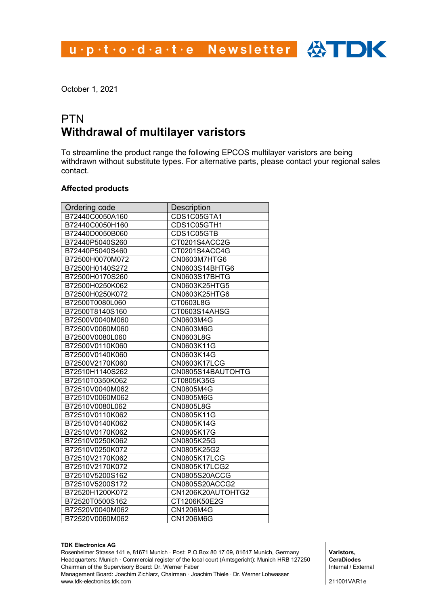u.p.t.o.d.a.t.e Newsletter  $\bigoplus$  DK

October 1, 2021

#### PTN **Withdrawal of multilayer varistors**

To streamline the product range the following EPCOS multilayer varistors are being withdrawn without substitute types. For alternative parts, please contact your regional sales contact.

#### **Affected products**

| Ordering code   | <b>Description</b> |
|-----------------|--------------------|
| B72440C0050A160 | CDS1C05GTA1        |
| B72440C0050H160 | CDS1C05GTH1        |
| B72440D0050B060 | CDS1C05GTB         |
| B72440P5040S260 | CT0201S4ACC2G      |
| B72440P5040S460 | CT0201S4ACC4G      |
| B72500H0070M072 | CN0603M7HTG6       |
| B72500H0140S272 | CN0603S14BHTG6     |
| B72500H0170S260 | CN0603S17BHTG      |
| B72500H0250K062 | CN0603K25HTG5      |
| B72500H0250K072 | CN0603K25HTG6      |
| B72500T0080L060 | CT0603L8G          |
| B72500T8140S160 | CT0603S14AHSG      |
| B72500V0040M060 | CN0603M4G          |
| B72500V0060M060 | CN0603M6G          |
| B72500V0080L060 | CN0603L8G          |
| B72500V0110K060 | CN0603K11G         |
| B72500V0140K060 | CN0603K14G         |
| B72500V2170K060 | CN0603K17LCG       |
| B72510H1140S262 | CN0805S14BAUTOHTG  |
| B72510T0350K062 | CT0805K35G         |
| B72510V0040M062 | CN0805M4G          |
| B72510V0060M062 | CN0805M6G          |
| B72510V0080L062 | CN0805L8G          |
| B72510V0110K062 | CN0805K11G         |
| B72510V0140K062 | CN0805K14G         |
| B72510V0170K062 | CN0805K17G         |
| B72510V0250K062 | CN0805K25G         |
| B72510V0250K072 | CN0805K25G2        |
| B72510V2170K062 | CN0805K17LCG       |
| B72510V2170K072 | CN0805K17LCG2      |
| B72510V5200S162 | CN0805S20ACCG      |
| B72510V5200S172 | CN0805S20ACCG2     |
| B72520H1200K072 | CN1206K20AUTOHTG2  |
| B72520T0500S162 | CT1206K50E2G       |
| B72520V0040M062 | CN1206M4G          |
| B72520V0060M062 | CN1206M6G          |

#### **TDK Electronics AG**

Rosenheimer Strasse 141 e, 81671 Munich · Post: P.O.Box 80 17 09, 81617 Munich, Germany Headquarters: Munich · Commercial register of the local court (Amtsgericht): Munich HRB 127250 Chairman of the Supervisory Board: Dr. Werner Faber

Management Board: Joachim Zichlarz, Chairman · Joachim Thiele · Dr. Werner Lohwasser www.tdk-electronics.tdk.com

**Varistors, CeraDiodes** Internal / External

211001VAR1e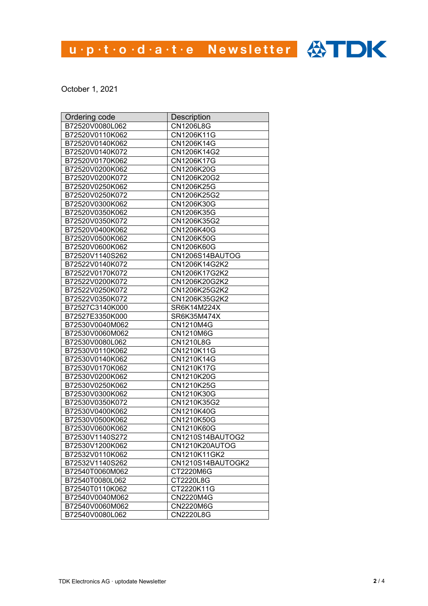# u.p.t.o.d.a.t.e Newsletter <>>>

October 1, 2021

| Ordering code   | Description       |
|-----------------|-------------------|
| B72520V0080L062 | CN1206L8G         |
| B72520V0110K062 | CN1206K11G        |
| B72520V0140K062 | CN1206K14G        |
| B72520V0140K072 | CN1206K14G2       |
| B72520V0170K062 | CN1206K17G        |
| B72520V0200K062 | CN1206K20G        |
| B72520V0200K072 | CN1206K20G2       |
| B72520V0250K062 | CN1206K25G        |
| B72520V0250K072 | CN1206K25G2       |
| B72520V0300K062 | CN1206K30G        |
| B72520V0350K062 | CN1206K35G        |
| B72520V0350K072 | CN1206K35G2       |
| B72520V0400K062 | CN1206K40G        |
| B72520V0500K062 | CN1206K50G        |
| B72520V0600K062 | CN1206K60G        |
| B72520V1140S262 | CN1206S14BAUTOG   |
| B72522V0140K072 | CN1206K14G2K2     |
| B72522V0170K072 | CN1206K17G2K2     |
| B72522V0200K072 | CN1206K20G2K2     |
| B72522V0250K072 | CN1206K25G2K2     |
| B72522V0350K072 | CN1206K35G2K2     |
| B72527C3140K000 | SR6K14M224X       |
| B72527E3350K000 | SR6K35M474X       |
| B72530V0040M062 | CN1210M4G         |
| B72530V0060M062 | CN1210M6G         |
| B72530V0080L062 | <b>CN1210L8G</b>  |
| B72530V0110K062 | CN1210K11G        |
| B72530V0140K062 | CN1210K14G        |
| B72530V0170K062 | CN1210K17G        |
| B72530V0200K062 | CN1210K20G        |
| B72530V0250K062 | CN1210K25G        |
| B72530V0300K062 | CN1210K30G        |
| B72530V0350K072 | CN1210K35G2       |
| B72530V0400K062 | CN1210K40G        |
| B72530V0500K062 | CN1210K50G        |
| B72530V0600K062 | CN1210K60G        |
| B72530V1140S272 | CN1210S14BAUTOG2  |
| B72530V1200K062 | CN1210K20AUTOG    |
| B72532V0110K062 | CN1210K11GK2      |
| B72532V1140S262 | CN1210S14BAUTOGK2 |
| B72540T0060M062 | CT2220M6G         |
| B72540T0080L062 | CT2220L8G         |
| B72540T0110K062 | CT2220K11G        |
| B72540V0040M062 | CN2220M4G         |
| B72540V0060M062 | CN2220M6G         |
| B72540V0080L062 | <b>CN2220L8G</b>  |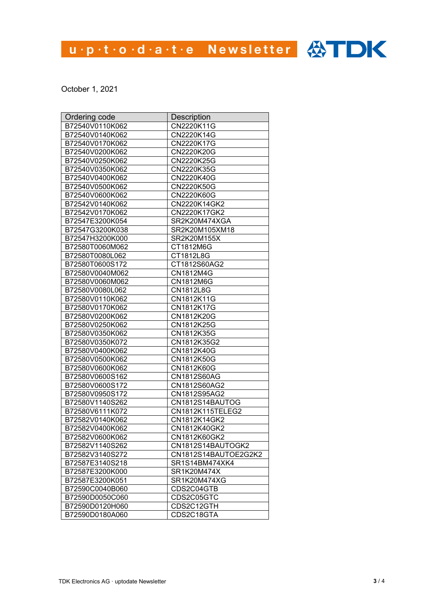# u.p.t.o.d.a.t.e Newsletter <>>>

October 1, 2021

| Ordering code   | <b>Description</b>   |
|-----------------|----------------------|
| B72540V0110K062 | CN2220K11G           |
| B72540V0140K062 | CN2220K14G           |
| B72540V0170K062 | CN2220K17G           |
| B72540V0200K062 | CN2220K20G           |
| B72540V0250K062 | CN2220K25G           |
| B72540V0350K062 | CN2220K35G           |
| B72540V0400K062 | CN2220K40G           |
| B72540V0500K062 | CN2220K50G           |
| B72540V0600K062 | CN2220K60G           |
| B72542V0140K062 | CN2220K14GK2         |
| B72542V0170K062 | CN2220K17GK2         |
| B72547E3200K054 | SR2K20M474XGA        |
| B72547G3200K038 | SR2K20M105XM18       |
| B72547H3200K000 | SR2K20M155X          |
| B72580T0060M062 | CT1812M6G            |
| B72580T0080L062 | CT1812L8G            |
| B72580T0600S172 | CT1812S60AG2         |
| B72580V0040M062 | CN1812M4G            |
| B72580V0060M062 | CN1812M6G            |
| B72580V0080L062 | CN1812L8G            |
| B72580V0110K062 | CN1812K11G           |
| B72580V0170K062 | CN1812K17G           |
| B72580V0200K062 | CN1812K20G           |
| B72580V0250K062 | CN1812K25G           |
| B72580V0350K062 | CN1812K35G           |
| B72580V0350K072 | CN1812K35G2          |
| B72580V0400K062 | CN1812K40G           |
| B72580V0500K062 | CN1812K50G           |
| B72580V0600K062 | CN1812K60G           |
| B72580V0600S162 | CN1812S60AG          |
| B72580V0600S172 | CN1812S60AG2         |
| B72580V0950S172 | CN1812S95AG2         |
| B72580V1140S262 | CN1812S14BAUTOG      |
| B72580V6111K072 | CN1812K115TELEG2     |
| B72582V0140K062 | CN1812K14GK2         |
| B72582V0400K062 | CN1812K40GK2         |
| B72582V0600K062 | CN1812K60GK2         |
| B72582V1140S262 | CN1812S14BAUTOGK2    |
| B72582V3140S272 | CN1812S14BAUTOE2G2K2 |
| B72587E3140S218 | SR1S14BM474XK4       |
| B72587E3200K000 | SR1K20M474X          |
| B72587E3200K051 | SR1K20M474XG         |
| B72590C0040B060 | CDS2C04GTB           |
| B72590D0050C060 | CDS2C05GTC           |
| B72590D0120H060 | CDS2C12GTH           |
| B72590D0180A060 | CDS2C18GTA           |